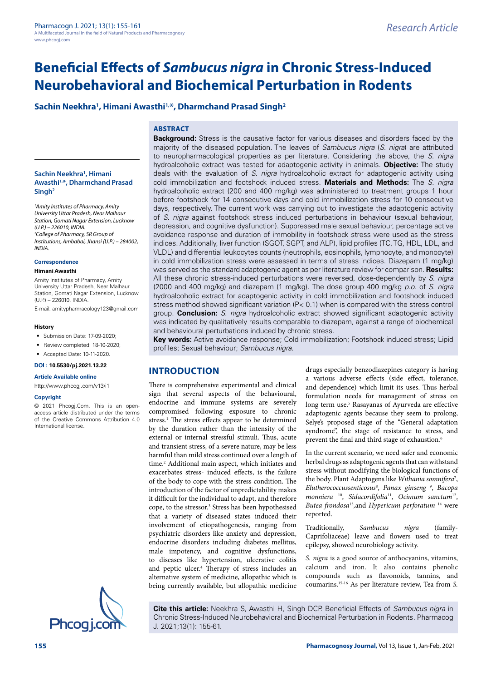# **Beneficial Effects of** *Sambucus nigra* **in Chronic Stress-Induced Neurobehavioral and Biochemical Perturbation in Rodents**

## **Sachin Neekhra1 , Himani Awasthi1,\*, Dharmchand Prasad Singh2**

## **ABSTRACT**

**Sachin Neekhra1 , Himani Awasthi1,\*, Dharmchand Prasad Singh2**

*1 Amity Institutes of Pharmacy, Amity University Uttar Pradesh, Near Malhaur Station, Gomati Nagar Extension, Lucknow (U.P.) – 226010, INDIA. 2 College of Pharmacy, SR Group of Institutions, Ambabai, Jhansi (U.P.) – 284002, INDIA.*

## **Correspondence**

## **Himani Awasthi**

Amity Institutes of Pharmacy, Amity University Uttar Pradesh, Near Malhaur Station, Gomati Nagar Extension, Lucknow (U.P.) – 226010, INDIA.

E-mail: [amitypharmacology123@gmail.com](mailto:amitypharmacology123@gmail.com)

#### **History**

- Submission Date: 17-09-2020;
- Review completed: 18-10-2020;
- Accepted Date: 10-11-2020.

**DOI : 10.5530/pj.2021.13.22**

#### **Article Available online**

<http://www.phcogj.com/v13/i1>

#### **Copyright**

© 2021 Phcogj.Com. This is an openaccess article distributed under the terms of the Creative Commons Attribution 4.0 International license.

**Background:** Stress is the causative factor for various diseases and disorders faced by the majority of the diseased population. The leaves of *Sambucus nigra* (*S. nigra*) are attributed to neuropharmacological properties as per literature. Considering the above, the *S. nigra* hydroalcoholic extract was tested for adaptogenic activity in animals. **Objective:** The study deals with the evaluation of *S. nigra* hydroalcoholic extract for adaptogenic activity using cold immobilization and footshock induced stress. **Materials and Methods:** The *S. nigra* hydroalcoholic extract (200 and 400 mg/kg) was administered to treatment groups 1 hour before footshock for 14 consecutive days and cold immobilization stress for 10 consecutive days, respectively. The current work was carrying out to investigate the adaptogenic activity of *S. nigra* against footshock stress induced perturbations in behaviour (sexual behaviour, depression, and cognitive dysfunction). Suppressed male sexual behaviour, percentage active avoidance response and duration of immobility in footshock stress were used as the stress indices. Additionally, liver function (SGOT, SGPT, and ALP), lipid profiles (TC, TG, HDL, LDL, and VLDL) and differential leukocytes counts (neutrophils, eosinophils, lymphocyte, and monocyte) in cold immobilization stress were assessed in terms of stress indices. Diazepam (1 mg/kg) was served as the standard adaptogenic agent as per literature review for comparison. **Results:**  All these chronic stress-induced perturbations were reversed, dose-dependently by *S. nigra* (2000 and 400 mg/kg) and diazepam (1 mg/kg). The dose group 400 mg/kg *p.o.* of *S. nigra*  hydroalcoholic extract for adaptogenic activity in cold immobilization and footshock induced stress method showed significant variation (P< 0.1) when is compared with the stress control group. **Conclusion:** *S. nigra* hydroalcoholic extract showed significant adaptogenic activity was indicated by qualitatively results comparable to diazepam, against a range of biochemical and behavioural perturbations induced by chronic stress.

**Key words:** Active avoidance response; Cold immobilization; Footshock induced stress; Lipid profiles; Sexual behaviour; *Sambucus nigra.*

## **INTRODUCTION**

There is comprehensive experimental and clinical sign that several aspects of the behavioural, endocrine and immune systems are severely compromised following exposure to chronic stress.<sup>1</sup> The stress effects appear to be determined by the duration rather than the intensity of the external or internal stressful stimuli. Thus, acute and transient stress, of a severe nature, may be less harmful than mild stress continued over a length of time.<sup>2</sup> Additional main aspect, which initiates and exacerbates stress- induced effects, is the failure of the body to cope with the stress condition. The introduction of the factor of unpredictability makes it difficult for the individual to adapt, and therefore cope, to the stressor.<sup>3</sup> Stress has been hypothesised that a variety of diseased states induced their involvement of etiopathogenesis, ranging from psychiatric disorders like anxiety and depression, endocrine disorders including diabetes mellitus, male impotency, and cognitive dysfunctions, to diseases like hypertension, ulcerative colitis and peptic ulcer.<sup>4</sup> Therapy of stress includes an alternative system of medicine, allopathic which is being currently available, but allopathic medicine

drugs especially benzodiazepines category is having a various adverse effects (side effect, tolerance, and dependence) which limit its uses. Thus herbal formulation needs for management of stress on long term use.<sup>5</sup> Rasayanas of Ayurveda are effective adaptogenic agents because they seem to prolong, Selye's proposed stage of the "General adaptation syndrome", the stage of resistance to stress, and prevent the final and third stage of exhaustion*.* 6

In the current scenario, we need safer and economic herbal drugs as adaptogenic agents that can withstand stress without modifying the biological functions of the body. Plant Adaptogens like *Withania somnifera*<sup>7</sup> , *Elutherococcussenticosus*<sup>8</sup> , *Panax ginseng* <sup>9</sup> , *Bacopa monniera* 10, *Sidacordifolia*11, *Ocimum sanctum*12, *Butea frondosa*<sup>13</sup>*,*and *Hypericum perforatum* 14 were reported.

Traditionally, *Sambucus nigra* (family-Caprifoliaceae) leave and flowers used to treat epilepsy, showed neurobiology activity.

*S. nigra* is a good source of anthocyanins, vitamins, calcium and iron. It also contains phenolic compounds such as flavonoids, tannins, and coumarins.15-16 As per literature review, Tea from *S.* 

**Cite this article:** Neekhra S, Awasthi H, Singh DCP. Beneficial Effects of *Sambucus nigra* in Chronic Stress-Induced Neurobehavioral and Biochemical Perturbation in Rodents. Pharmacog J. 2021;13(1): 155-61.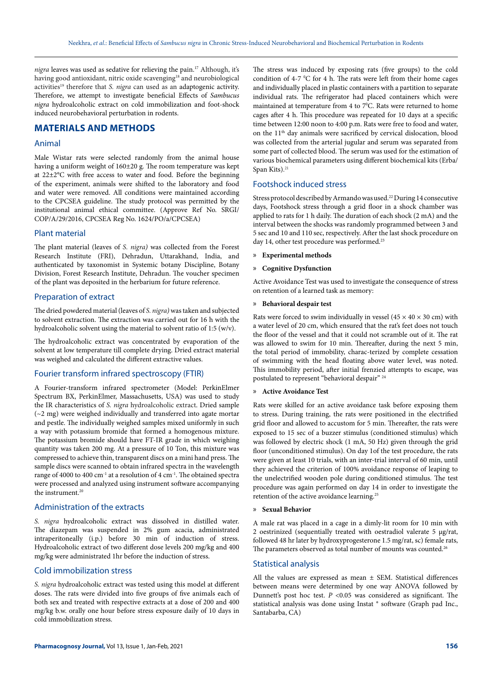*nigra* leaves was used as sedative for relieving the pain.17 Although, it's having good antioxidant, nitric oxide scavenging<sup>18</sup> and neurobiological activities19 therefore that *S. nigra* can used as an adaptogenic activity. Therefore, we attempt to investigate beneficial Effects of *Sambucus nigra* hydroalcoholic extract on cold immobilization and foot-shock induced neurobehavioral perturbation in rodents.

## **MATERIALS AND METHODS**

#### Animal

Male Wistar rats were selected randomly from the animal house having a uniform weight of 160±20 g*.* The room temperature was kept at 22±2°C with free access to water and food. Before the beginning of the experiment, animals were shifted to the laboratory and food and water were removed. All conditions were maintained according to the CPCSEA guideline. The study protocol was permitted by the institutional animal ethical committee. (Approve Ref No. SRGI/ COP/A/29/2016, CPCSEA Reg No. 1624/PO/a/CPCSEA)

#### Plant material

The plant material (leaves of *S. nigra)* was collected from the Forest Research Institute (FRI), Dehradun, Uttarakhand, India, and authenticated by taxonomist in Systemic botany Discipline, Botany Division, Forest Research Institute, Dehradun. The voucher specimen of the plant was deposited in the herbarium for future reference.

#### Preparation of extract

The dried powdered material (leaves of *S. nigra)* was taken and subjected to solvent extraction. The extraction was carried out for 16 h with the hydroalcoholic solvent using the material to solvent ratio of 1:5 (w/v).

The hydroalcoholic extract was concentrated by evaporation of the solvent at low temperature till complete drying. Dried extract material was weighed and calculated the different extractive values.

#### Fourier transform infrared spectroscopy (FTIR)

A Fourier-transform infrared spectrometer (Model: PerkinElmer Spectrum BX, PerkinElmer, Massachusetts, USA) was used to study the IR characteristics of *S. nigra* hydroalcoholic extract. Dried sample (~2 mg) were weighed individually and transferred into agate mortar and pestle. The individually weighed samples mixed uniformly in such a way with potassium bromide that formed a homogenous mixture. The potassium bromide should have FT-IR grade in which weighing quantity was taken 200 mg. At a pressure of 10 Ton, this mixture was compressed to achieve thin, transparent discs on a mini hand press. The sample discs were scanned to obtain infrared spectra in the wavelength range of 4000 to 400 cm<sup>-1</sup> at a resolution of 4 cm<sup>-1</sup>. The obtained spectra were processed and analyzed using instrument software accompanying the instrument.20

#### Administration of the extracts

*S. nigra* hydroalcoholic extract was dissolved in distilled water. The diazepam was suspended in 2% gum acacia, administrated intraperitoneally (i.p.) before 30 min of induction of stress. Hydroalcoholic extract of two different dose levels 200 mg/kg and 400 mg/kg were administrated 1hr before the induction of stress.

### Cold immobilization stress

*S. nigra* hydroalcoholic extract was tested using this model at different doses. The rats were divided into five groups of five animals each of both sex and treated with respective extracts at a dose of 200 and 400 mg/kg b.w. orally one hour before stress exposure daily of 10 days in cold immobilization stress.

The stress was induced by exposing rats (five groups) to the cold condition of 4-7  $^{\circ}$ C for 4 h. The rats were left from their home cages and individually placed in plastic containers with a partition to separate individual rats. The refrigerator had placed containers which were maintained at temperature from 4 to 7°C. Rats were returned to home cages after 4 h. This procedure was repeated for 10 days at a specific time between 12:00 noon to 4:00 p.m. Rats were free to food and water, on the 11th day animals were sacrificed by cervical dislocation, blood was collected from the arterial jugular and serum was separated from some part of collected blood. The serum was used for the estimation of various biochemical parameters using different biochemical kits (Erba/ Span Kits). 21

#### Footshock induced stress

Stress protocol described by Armando was used.22 During 14 consecutive days, Footshock stress through a grid floor in a shock chamber was applied to rats for 1 h daily. The duration of each shock (2 mA) and the interval between the shocks was randomly programmed between 3 and 5 sec and 10 and 110 sec, respectively. After the last shock procedure on day 14, other test procedure was performed.<sup>23</sup>

» **Experimental methods** 

#### » **Cognitive Dysfunction**

Active Avoidance Test was used to investigate the consequence of stress on retention of a learned task as memory:

#### » **Behavioral despair test**

Rats were forced to swim individually in vessel (45  $\times$  40  $\times$  30 cm) with a water level of 20 cm, which ensured that the rat's feet does not touch the floor of the vessel and that it could not scramble out of it. The rat was allowed to swim for 10 min. Thereafter, during the next 5 min, the total period of immobility, charac-terized by complete cessation of swimming with the head floating above water level, was noted. This immobility period, after initial frenzied attempts to escape, was postulated to represent "behavioral despair" 24

#### » **Active Avoidance Test**

Rats were skilled for an active avoidance task before exposing them to stress. During training, the rats were positioned in the electrified grid floor and allowed to accustom for 5 min. Thereafter, the rats were exposed to 15 sec of a buzzer stimulus (conditioned stimulus) which was followed by electric shock (1 mA, 50 Hz) given through the grid floor (unconditioned stimulus). On day 1of the test procedure, the rats were given at least 10 trials, with an inter-trial interval of 60 min, until they achieved the criterion of 100% avoidance response of leaping to the unelectrified wooden pole during conditioned stimulus. The test procedure was again performed on day 14 in order to investigate the retention of the active avoidance learning.25

#### » **Sexual Behavior**

A male rat was placed in a cage in a dimly-lit room for 10 min with 2 oestrinized (sequentially treated with oestradiol valerate 5 µg/rat, followed 48 hr later by hydroxyprogesterone 1.5 mg/rat, sc) female rats, The parameters observed as total number of mounts was counted.<sup>26</sup>

#### Statistical analysis

All the values are expressed as mean  $\pm$  SEM. Statistical differences between means were determined by one way ANOVA followed by Dunnett's post hoc test. *P* <0.05 was considered as significant. The statistical analysis was done using Instat ® software (Graph pad Inc., Santabarba, CA)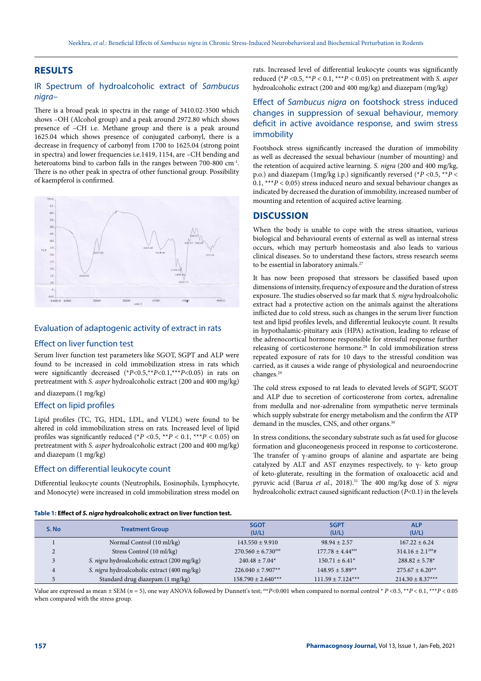## **RESULTS**

## IR Spectrum of hydroalcoholic extract of *Sambucus nigra*–

There is a broad peak in spectra in the range of 3410.02-3500 which shows –OH (Alcohol group) and a peak around 2972.80 which shows presence of –CH i.e. Methane group and there is a peak around 1625.04 which shows presence of conjugated carbonyl, there is a decrease in frequency of carbonyl from 1700 to 1625.04 (strong point in spectra) and lower frequencies i.e.1419, 1154, are –CH bending and heteroatoms bind to carbon falls in the ranges between 700-800 cm-1. There is no other peak in spectra of other functional group. Possibility of kaempferol is confirmed.



## Evaluation of adaptogenic activity of extract in rats

#### Effect on liver function test

Serum liver function test parameters like SGOT, SGPT and ALP were found to be increased in cold immobilization stress in rats which were significantly decreased (\**P*<0.5,\*\**P*<0.1,\*\*\**P*<0.05) in rats on pretreatment with *S. asper* hydroalcoholic extract (200 and 400 mg/kg)

and diazepam.(1 mg/kg)

#### Effect on lipid profiles

Lipid profiles (TC, TG, HDL, LDL, and VLDL) were found to be altered in cold immobilization stress on rats. Increased level of lipid profiles was significantly reduced ( $P$  <0.5,  $*$  $P$  < 0.1,  $*$  $*$  $P$  < 0.05) on pretreatment with *S. asper* hydroalcoholic extract (200 and 400 mg/kg) and diazepam (1 mg/kg)

#### Effect on differential leukocyte count

Differential leukocyte counts (Neutrophils, Eosinophils, Lymphocyte, and Monocyte) were increased in cold immobilization stress model on

**Table 1: Effect of** *S. nigra* **hydroalcoholic extract on liver function test.**

rats. Increased level of differential leukocyte counts was significantly reduced ( $*P < 0.5$ ,  $*P < 0.1$ ,  $***P < 0.05$ ) on pretreatment with *S. asper* hydroalcoholic extract (200 and 400 mg/kg) and diazepam (mg/kg)

## Effect of *Sambucus nigra* on footshock stress induced changes in suppression of sexual behaviour, memory deficit in active avoidance response, and swim stress immobility

Footshock stress significantly increased the duration of immobility as well as decreased the sexual behaviour (number of mounting) and the retention of acquired active learning. *S. nigra* (200 and 400 mg/kg, p.o.) and diazepam (1mg/kg i.p.) significantly reversed (\**P* <0.5, \*\**P* < 0.1, \*\*\**P* < 0.05) stress induced neuro and sexual behaviour changes as indicated by decreased the duration of immobility, increased number of mounting and retention of acquired active learning.

#### **DISCUSSION**

When the body is unable to cope with the stress situation, various biological and behavioural events of external as well as internal stress occurs, which may perturb homeostasis and also leads to various clinical diseases. So to understand these factors, stress research seems to be essential in laboratory animals.<sup>27</sup>

It has now been proposed that stressors be classified based upon dimensions of intensity, frequency of exposure and the duration of stress exposure. The studies observed so far mark that *S. nigra* hydroalcoholic extract had a protective action on the animals against the alterations inflicted due to cold stress, such as changes in the serum liver function test and lipid profiles levels, and differential leukocyte count. It results in hypothalamic-pituitary axis (HPA) activation, leading to release of the adrenocortical hormone responsible for stressful response further releasing of corticosterone hormone.28 In cold immobilization stress repeated exposure of rats for 10 days to the stressful condition was carried, as it causes a wide range of physiological and neuroendocrine changes.29

The cold stress exposed to rat leads to elevated levels of SGPT, SGOT and ALP due to secretion of corticosterone from cortex, adrenaline from medulla and nor-adrenaline from sympathetic nerve terminals which supply substrate for energy metabolism and the confirm the ATP demand in the muscles, CNS, and other organs.<sup>30</sup>

In stress conditions, the secondary substrate such as fat used for glucose formation and gluconeogenesis proceed in response to corticosterone. The transfer of  $\gamma$ -amino groups of alanine and aspartate are being catalyzed by ALT and AST enzymes respectively, to  $\gamma$ - keto group of keto-gluterate, resulting in the formation of oxaloacetic acid and pyruvic acid (Barua *et al.,* 2018).31 The 400 mg/kg dose of *S. nigra* hydroalcoholic extract caused significant reduction (*P*<0.1) in the levels

| S. No | <b>Treatment Group</b>                      | <b>SGOT</b><br>(U/L)   | <b>SGPT</b><br>(U/L)  | <b>ALP</b><br>(U/L)          |
|-------|---------------------------------------------|------------------------|-----------------------|------------------------------|
|       |                                             |                        |                       |                              |
|       | Normal Control (10 ml/kg)                   | $143.550 + 9.910$      | $98.94 \pm 2.57$      | $167.22 + 6.24$              |
|       | Stress Control (10 ml/kg)                   | $270.560 \pm 6.730$    | $177.78 + 4.44***$    | $314.16 \pm 2.1^{2\pi} \#$   |
|       | S. nigra hydroalcoholic extract (200 mg/kg) | $240.48 \pm 7.04*$     | $150.71 \pm 6.41*$    | $288.82 + 5.78$ <sup>*</sup> |
| 4     | S. nigra hydroalcoholic extract (400 mg/kg) | $226.040 + 7.907**$    | $148.95 + 5.89**$     | $275.67 \pm 6.20**$          |
|       | Standard drug diazepam (1 mg/kg)            | $158.790 \pm 2.640***$ | $111.59 \pm 7.124***$ | $214.30 \pm 8.37***$         |

Value are expressed as mean ± SEM (*n* = 5), one way ANOVA followed by Dunnett's test; ###*P*<0.001 when compared to normal control \* *P* <0.5, \*\**P* < 0.1, \*\*\**P* < 0.05 when compared with the stress group.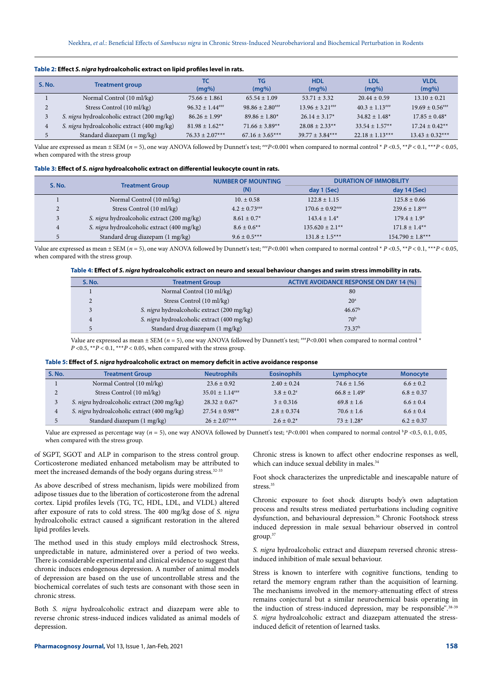| <b>S. No.</b>  | <b>Treatment group</b>                      | тс<br>$(mq\%)$                  | TG<br>$(mq\%)$         | <b>HDL</b><br>$(mq\%)$ | <b>LDL</b><br>$(mq\%)$         | <b>VLDL</b><br>$(mg\%)$ |
|----------------|---------------------------------------------|---------------------------------|------------------------|------------------------|--------------------------------|-------------------------|
|                | Normal Control (10 ml/kg)                   | $75.66 \pm 1.861$               | $65.54 \pm 1.09$       | $53.71 + 3.32$         | $20.44 \pm 0.59$               | $13.10 \pm 0.21$        |
| $\overline{2}$ | Stress Control (10 ml/kg)                   | $96.32 \pm 1.44$ <sup>***</sup> | $98.86 \pm 2.80^{***}$ | $13.96 \pm 3.21***$    | $40.3 \pm 1.13$ <sup>***</sup> | $19.69 \pm 0.56***$     |
| 3              | S. nigra hydroalcoholic extract (200 mg/kg) | $86.26 \pm 1.99*$               | $89.86 \pm 1.80^*$     | $26.14 \pm 3.17^*$     | $34.82 \pm 1.48^*$             | $17.85 \pm 0.48^*$      |
| 4              | S. nigra hydroalcoholic extract (400 mg/kg) | $81.98 \pm 1.62$ **             | $71.66 \pm 3.89**$     | $28.08 + 2.33**$       | $33.54 \pm 1.57**$             | $17.24 \pm 0.42**$      |
| 5              | Standard diazepam (1 mg/kg)                 | $76.33 + 2.07***$               | $67.16 \pm 3.65***$    | $39.77 + 3.84***$      | $22.18 \pm 1.13***$            | $13.43 + 0.32***$       |

**Table 2: Effect** *S. nigra* **hydroalcoholic extract on lipid profiles level in rats.**

Value are expressed as mean  $\pm$  SEM ( $n = 5$ ), one way ANOVA followed by Dunnett's test;  $\pm n \neq P < 0.001$  when compared to normal control  $*P < 0.5$ ,  $* \pm P < 0.1$ ,  $* \pm n \neq P < 0.05$ , when compared with the stress group

| Table 3: Effect of S. nigra hydroalcoholic extract on differential leukocyte count in rats. |  |  |
|---------------------------------------------------------------------------------------------|--|--|
|                                                                                             |  |  |

| S. No.                     | <b>Treatment Group</b>                      | <b>NUMBER OF MOUNTING</b><br>(N) | <b>DURATION OF IMMOBILITY</b> |                                |  |
|----------------------------|---------------------------------------------|----------------------------------|-------------------------------|--------------------------------|--|
|                            |                                             |                                  | day 1 (Sec)                   | day 14 (Sec)                   |  |
|                            | Normal Control (10 ml/kg)                   | $10. \pm 0.58$                   | $122.8 \pm 1.15$              | $125.8 \pm 0.66$               |  |
| $\Omega$<br>$\overline{ }$ | Stress Control (10 ml/kg)                   | $4.2 \pm 0.73$ ###               | $170.6 \pm 0.92$              | $239.6 \pm 1.8$ <sup>***</sup> |  |
| 3                          | S. nigra hydroalcoholic extract (200 mg/kg) | $8.61 \pm 0.7^*$                 | $143.4 \pm 1.4^*$             | $179.4 \pm 1.9*$               |  |
| $\overline{4}$             | S. nigra hydroalcoholic extract (400 mg/kg) | $8.6 \pm 0.6$ <sup>**</sup>      | $135.620 + 2.1**$             | $171.8 \pm 1.4**$              |  |
| ц                          | Standard drug diazepam (1 mg/kg)            | $9.6 \pm 0.5***$                 | $131.8 \pm 1.5***$            | $154.790 \pm 1.8***$           |  |

Value are expressed as mean ± SEM (*n* = 5), one way ANOVA followed by Dunnett's test; ###*P*<0.001 when compared to normal control \* *P* <0.5, \*\**P* < 0.1, \*\*\**P* < 0.05, when compared with the stress group.

|  |  |  | Table 4: Effect of S. nigra hydroalcoholic extract on neuro and sexual behaviour changes and swim stress immobility in rats. |  |  |
|--|--|--|------------------------------------------------------------------------------------------------------------------------------|--|--|
|--|--|--|------------------------------------------------------------------------------------------------------------------------------|--|--|

| <b>S. No.</b> | <b>Treatment Group</b>                      | ACTIVE AVOIDANCE RESPONSE ON DAY 14 (%) |
|---------------|---------------------------------------------|-----------------------------------------|
|               | Normal Control (10 ml/kg)                   | 80                                      |
|               | Stress Control (10 ml/kg)                   | 20 <sup>a</sup>                         |
|               | S. nigra hydroalcoholic extract (200 mg/kg) | 46.67 <sup>b</sup>                      |
|               | S. nigra hydroalcoholic extract (400 mg/kg) | 70 <sup>b</sup>                         |
|               | Standard drug diazepam (1 mg/kg)            | 73.37 <sup>b</sup>                      |

Value are expressed as mean  $\pm$  SEM ( $n = 5$ ), one way ANOVA followed by Dunnett's test;  $\neq p < 0.001$  when compared to normal control \* *P* <0.5, \*\**P* < 0.1, \*\*\**P* < 0.05, when compared with the stress group.

| Table 5: Effect of <i>S. nigra</i> hydroalcoholic extract on memory deficit in active avoidance response |  |
|----------------------------------------------------------------------------------------------------------|--|
|----------------------------------------------------------------------------------------------------------|--|

| S. No. | <b>Treatment Group</b>                      | <b>Neutrophils</b>              | <b>Eosinophils</b> | Lymphocyte             | <b>Monocyte</b> |
|--------|---------------------------------------------|---------------------------------|--------------------|------------------------|-----------------|
|        | Normal Control (10 ml/kg)                   | $23.6 \pm 0.92$                 | $2.40 \pm 0.24$    | $74.6 \pm 1.56$        | $6.6 \pm 0.2$   |
|        | Stress Control (10 ml/kg)                   | $35.01 \pm 1.14$ <sup>***</sup> | $3.8 \pm 0.2^*$    | $66.8 \pm 1.49^{\ast}$ | $6.8 + 0.37$    |
|        | S. nigra hydroalcoholic extract (200 mg/kg) | $28.32 \pm 0.67$ *              | $3 + 0.316$        | $69.8 \pm 1.6$         | $6.6 \pm 0.4$   |
|        | S. nigra hydroalcoholic extract (400 mg/kg) | $27.54 \pm 0.98**$              | $2.8 \pm 0.374$    | $70.6 \pm 1.6$         | $6.6 \pm 0.4$   |
|        | Standard diazepam (1 mg/kg)                 | $26 + 2.07***$                  | $2.6 \pm 0.2^*$    | $73 + 1.28*$           | $6.2 + 0.37$    |

Value are expressed as percentage way (*n* = 5), one way ANOVA followed by Dunnett's test; <sup>a</sup>P<0.001 when compared to normal control <sup>b</sup>P <0.5, 0.1, 0.05, when compared with the stress group.

of SGPT, SGOT and ALP in comparison to the stress control group. Corticosterone mediated enhanced metabolism may be attributed to meet the increased demands of the body organs during stress*.* 32-33

As above described of stress mechanism, lipids were mobilized from adipose tissues due to the liberation of corticosterone from the adrenal cortex. Lipid profiles levels (TG, TC, HDL, LDL, and VLDL) altered after exposure of rats to cold stress. The 400 mg/kg dose of *S. nigra* hydroalcoholic extract caused a significant restoration in the altered lipid profiles levels.

The method used in this study employs mild electroshock Stress, unpredictable in nature, administered over a period of two weeks. There is considerable experimental and clinical evidence to suggest that chronic induces endogenous depression. A number of animal models of depression are based on the use of uncontrollable stress and the biochemical correlates of such tests are consonant with those seen in chronic stress.

Both *S. nigra* hydroalcoholic extract and diazepam were able to reverse chronic stress-induced indices validated as animal models of depression.

Chronic stress is known to affect other endocrine responses as well, which can induce sexual debility in males.<sup>34</sup>

Foot shock characterizes the unpredictable and inescapable nature of stress.<sup>35</sup>

Chronic exposure to foot shock disrupts body's own adaptation process and results stress mediated perturbations including cognitive dysfunction, and behavioural depression.<sup>36</sup> Chronic Footshock stress induced depression in male sexual behaviour observed in control group.37

*S. nigra* hydroalcoholic extract and diazepam reversed chronic stressinduced inhibition of male sexual behaviour.

Stress is known to interfere with cognitive functions, tending to retard the memory engram rather than the acquisition of learning. The mechanisms involved in the memory-attenuating effect of stress remains conjectural but a similar neurochemical basis operating in the induction of stress-induced depression, may be responsible''.38-39 *S. nigra* hydroalcoholic extract and diazepam attenuated the stressinduced deficit of retention of learned tasks.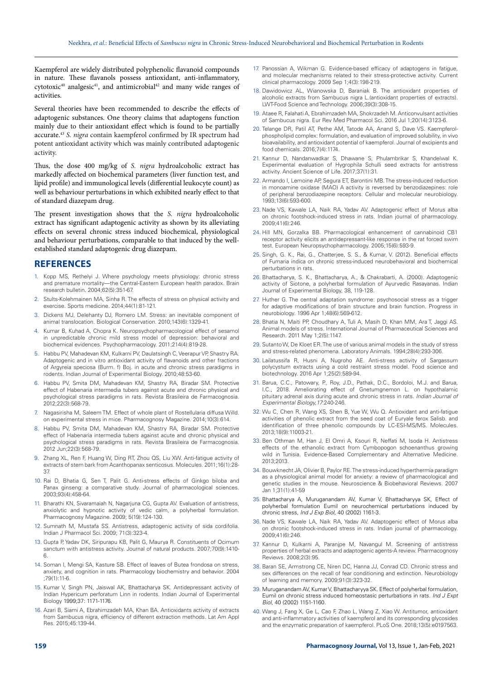Kaempferol are widely distributed polyphenolic flavanoid compounds in nature. These flavanols possess antioxidant, anti-inflammatory,  $cytotoxic<sup>40</sup>$  analgesic<sup>41</sup>, and antimicrobial<sup>42</sup> and many wide ranges of activities.

Several theories have been recommended to describe the effects of adaptogenic substances. One theory claims that adaptogens function mainly due to their antioxidant effect which is found to be partially accurate.43 *S. nigra* contain kaempferol confirmed by IR spectrum had potent antioxidant activity which was mainly contributed adaptogenic activity.

Thus, the dose 400 mg/kg of *S. nigra* hydroalcoholic extract has markedly affected on biochemical parameters (liver function test, and lipid profile) and immunological levels (differential leukocyte count) as well as behaviour perturbations in which exhibited nearly effect to that of standard diazepam drug.

The present investigation shows that the *S. nigra* hydroalcoholic extract has significant adaptogenic activity as shown by its alleviating effects on several chronic stress induced biochemical, physiological and behaviour perturbations, comparable to that induced by the wellestablished standard adaptogenic drug diazepam.

#### **REFERENCES**

- Kopp MS, Rethelyi J. Where psychology meets physiology: chronic stress and premature mortality—the Central-Eastern European health paradox. Brain research bulletin. 2004;62(5):351-67.
- Stults-Kolehmainen MA, Sinha R. The effects of stress on physical activity and exercise. Sports medicine. 2014;44(1):81-121.
- 3. Dickens MJ, Delehanty DJ, Romero LM. Stress: an inevitable component of animal translocation. Biological Conservation. 2010;143(6):1329-41.
- 4. Kumar B, Kuhad A, Chopra K. Neuropsychopharmacological effect of sesamol in unpredictable chronic mild stress model of depression: behavioral and biochemical evidences. Psychopharmacology. 2011;214(4):819-28.
- 5. Habbu PV, Mahadevan KM, Kulkarni PV, Daulatsingh C, Veerapur VP, Shastry RA. Adaptogenic and in vitro antioxidant activity of flavanoids and other fractions of Argyreia speciosa (Burm. f) Boj. in acute and chronic stress paradigms in rodents. Indian Journal of Experimental Biology. 2010;48:53-60.
- 6. Habbu PV, Smita DM, Mahadevan KM, Shastry RA, Biradar SM. Protective effect of Habenaria intermedia tubers against acute and chronic physical and psychological stress paradigms in rats. Revista Brasileira de Farmacognosia. 2012;22(3):568-79.
- 7. Nagasirisha M, Saleem TM. Effect of whole plant of Rostellularia diffusa Willd. on experimental stress in mice. Pharmacognosy Magazine. 2014;10(3):614.
- 8. Habbu PV, Smita DM, Mahadevan KM, Shastry RA, Biradar SM. Protective effect of Habenaria intermedia tubers against acute and chronic physical and psychological stress paradigms in rats. Revista Brasileira de Farmacognosia. 2012 Jun;22(3):568-79.
- 9. Zhang XL, Ren F, Huang W, Ding RT, Zhou QS, Liu XW. Anti-fatigue activity of extracts of stem bark from Acanthopanax senticosus. Molecules. 2011;16(1):28- 37.
- 10. Rai D, Bhatia G, Sen T, Palit G. Anti-stress effects of Ginkgo biloba and Panax ginseng: a comparative study. Journal of pharmacological sciences. 2003;93(4):458-64.
- 11. Bharathi KN, Sivaramaiah N, Nagarjuna CG, Gupta AV. Evaluation of antistress, anxiolytic and hypnotic activity of vedic calm, a polyherbal formulation. Pharmacognosy Magazine. 2009; 5(19):124-130.
- 12. Sumnath M, Mustafa SS. Antistress, adaptogenic activity of sida cordifolia. Indian J Pharmacol Sci. 2009; 71(3):323-4.
- 13. Gupta P, Yadav DK, Siripurapu KB, Palit G, Maurya R. Constituents of Ocimum sanctum with antistress activity. Journal of natural products. 2007;70(9):1410- 6.
- 14. Soman I, Mengi SA, Kasture SB. Effect of leaves of Butea frondosa on stress, anxiety, and cognition in rats. Pharmacology biochemistry and behavior. 2004 ;79(1):11-6.
- 15. Kumar V, Singh PN, Jaiswal AK, Bhattacharya SK. Antidepressant activity of Indian Hypericum perforatum Linn in rodents. Indian Journal of Experimental Biology 1999;37: 1171-1176.
- 16. Azari B, Siami A, Ebrahimzadeh MA, Khan BA. Antioxidants activity of extracts from Sambucus nigra, efficiency of different extraction methods. Lat Am Appl Res. 2015;45:139-44.
- 17. Panossian A, Wikman G. Evidence-based efficacy of adaptogens in fatigue, and molecular mechanisms related to their stress-protective activity. Current clinical pharmacology. 2009 Sep 1;4(3):198-219.
- 18. Dawidowicz AL, Wianowska D, Baraniak B. The antioxidant properties of alcoholic extracts from Sambucus nigra L.(antioxidant properties of extracts). LWT-Food Science and Technology. 2006;39(3):308-15.
- 19. Ataee R, Falahati A, Ebrahimzadeh MA, Shokrzadeh M. Anticonvulsant activities of Sambucus nigra. Eur Rev Med Pharmacol Sci. 2016 Jul 1;20(14):3123-6.
- 20. Telange DR, Patil AT, Pethe AM, Tatode AA, Anand S, Dave VS. Kaempferolphospholipid complex: formulation, and evaluation of improved solubility, in vivo bioavailability, and antioxidant potential of kaempferol. Journal of excipients and food chemicals. 2016;7(4):1174.
- 21. Kannur D, Nandanwadkar S, Dhawane S, Phulambrikar S, Khandelwal K. Experimental evaluation of Hygrophila Schulli seed extracts for antistress activity. Ancient Science of Life. 2017;37(1):31.
- 22. Armando I, Lemoine AP, Segura ET, Barontini MB. The stress-induced reduction in monoamine oxidase (MAO) A activity is reversed by benzodiazepines: role of peripheral benzodiazepine receptors. Cellular and molecular neurobiology. 1993;13(6):593-600.
- 23. Nade VS, Kawale LA, Naik RA, Yadav AV. Adaptogenic effect of Morus alba on chronic footshock-induced stress in rats. Indian journal of pharmacology. 2009;41(6):246.
- 24. Hill MN, Gorzalka BB. Pharmacological enhancement of cannabinoid CB1 receptor activity elicits an antidepressant-like response in the rat forced swim test. European Neuropsychopharmacology. 2005;15(6):593-9.
- 25. Singh, G. K., Rai, G., Chatterjee, S. S., & Kumar, V. (2012). Beneficial effects of Fumaria indica on chronic stress-induced neurobehavioral and biochemical perturbations in rats.
- 26. Bhattacharya, S. K., Bhattacharya, A., & Chakrabarti, A. (2000). Adaptogenic activity of Siotone, a polyherbal formulation of Ayurvedic Rasayanas. Indian Journal of Experimental Biology, 38, 119-128.
- 27. Huther G. The central adaptation syndrome: psychosocial stress as a trigger for adaptive modifications of brain structure and brain function. Progress in neurobiology. 1996 Apr 1;48(6):569-612.
- 28. Bhatia N, Maiti PP, Choudhary A, Tuli A, Masih D, Khan MM, Ara T, Jaggi AS. Animal models of stress. International Journal of Pharmaceutical Sciences and Research. 2011 May 1;2(5):1147.
- 29. Sutanto W, De Kloet ER. The use of various animal models in the study of stress and stress-related phenomena. Laboratory Animals. 1994;28(4):293-306.
- 30. Lailatussifa R, Husni A, Nugroho AE. Anti-stress activity of Sargassum polycystum extracts using a cold restraint stress model. Food science and biotechnology. 2016 Apr 1;25(2):589-94.
- 31. Barua, C.C., Patowary, P., Roy, J.D., Pathak, D.C., Bordoloi, M.J. and Barua, I.C., 2018. Ameliorating effect of Gnetumgnemon L. on hypothalamic pituitary adrenal axis during acute and chronic stress in rats. *Indian Journal of Experimental Biology,17*:240-246.
- 32. Wu C, Chen R, Wang XS, Shen B, Yue W, Wu Q. Antioxidant and anti-fatigue activities of phenolic extract from the seed coat of Euryale ferox Salisb. and identification of three phenolic compounds by LC-ESI-MS/MS. Molecules. 2013;18(9):11003-21.
- 33. Ben Othman M, Han J, El Omri A, Ksouri R, Neffati M, Isoda H. Antistress effects of the ethanolic extract from Cymbopogon schoenanthus growing wild in Tunisia. Evidence-Based Complementary and Alternative Medicine. 2013;2013.
- 34. Bouwknecht JA, Olivier B, Paylor RE. The stress-induced hyperthermia paradigm as a physiological animal model for anxiety: a review of pharmacological and genetic studies in the mouse. Neuroscience & Biobehavioral Reviews. 2007 Jan 1;31(1):41-59
- 35. Bhattacharya A, Muruganandam AV, Kumar V, Bhattacharyya SK, Effect of polyherbal formulation Eumil on neurochemical perturbations induced by chronic stress, *Ind J Exp Biol,* 40 (2002) 1161-3.
- 36. Nade VS, Kawale LA, Naik RA, Yadav AV. Adaptogenic effect of Morus alba on chronic footshock-induced stress in rats. Indian journal of pharmacology. 2009;41(6):246.
- 37. Kannur D, Kulkarni A, Paranjpe M, Navangul M. Screening of antistress properties of herbal extracts and adaptogenic agents-A review. Pharmacognosy Reviews. 2008;2(3):95.
- 38. Baran SE, Armstrong CE, Niren DC, Hanna JJ, Conrad CD. Chronic stress and sex differences on the recall of fear conditioning and extinction. Neurobiology of learning and memory. 2009;91(3):323-32.
- 39. Muruganandam AV, Kumar V, Bhattacharyya SK. Effect of polyherbal formulation, Eumil on chronic stress induced homeostasic perturbations in rats. *Ind J Expt Biol,* 40 (2002) 1151-1160.
- 40. Wang J, Fang X, Ge L, Cao F, Zhao L, Wang Z, Xiao W. Antitumor, antioxidant and anti-inflammatory activities of kaempferol and its corresponding glycosides and the enzymatic preparation of kaempferol. PLoS One. 2018;13(5):e0197563.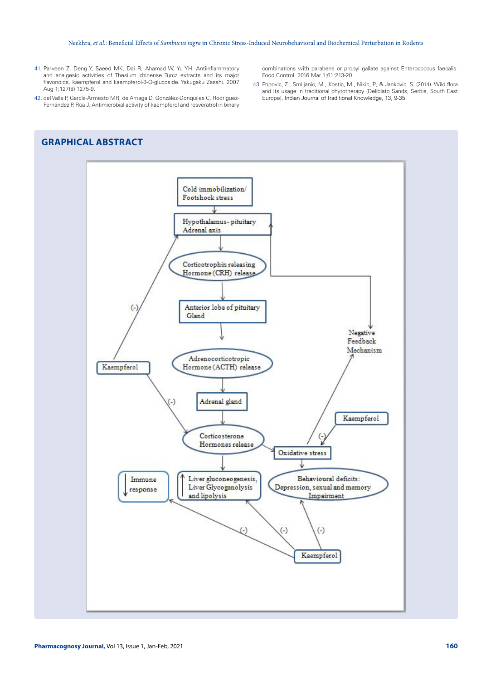- 41. Parveen Z, Deng Y, Saeed MK, Dai R, Ahamad W, Yu YH. Antiinflammatory and analgesic activities of Thesium chinense Turcz extracts and its major flavonoids, kaempferol and kaempferol-3-O-glucoside. Yakugaku Zasshi. 2007 Aug 1;127(8):1275-9.
- 42. del Valle P, García-Armesto MR, de Arriaga D, González-Donquiles C, Rodríguez-Fernández P, Rúa J. Antimicrobial activity of kaempferol and resveratrol in binary

## **GRAPHICAL ABSTRACT**

combinations with parabens or propyl gallate against Enterococcus faecalis. Food Control. 2016 Mar 1;61:213-20.

43. Popovic, Z., Smiljanic, M., Kostic, M., Nikic, P., & Jankovic, S. (2014). Wild flora and its usage in traditional phytotherapy (Deliblato Sands, Serbia, South East Europe). Indian Journal of Traditional Knowledge, 13, 9-35.